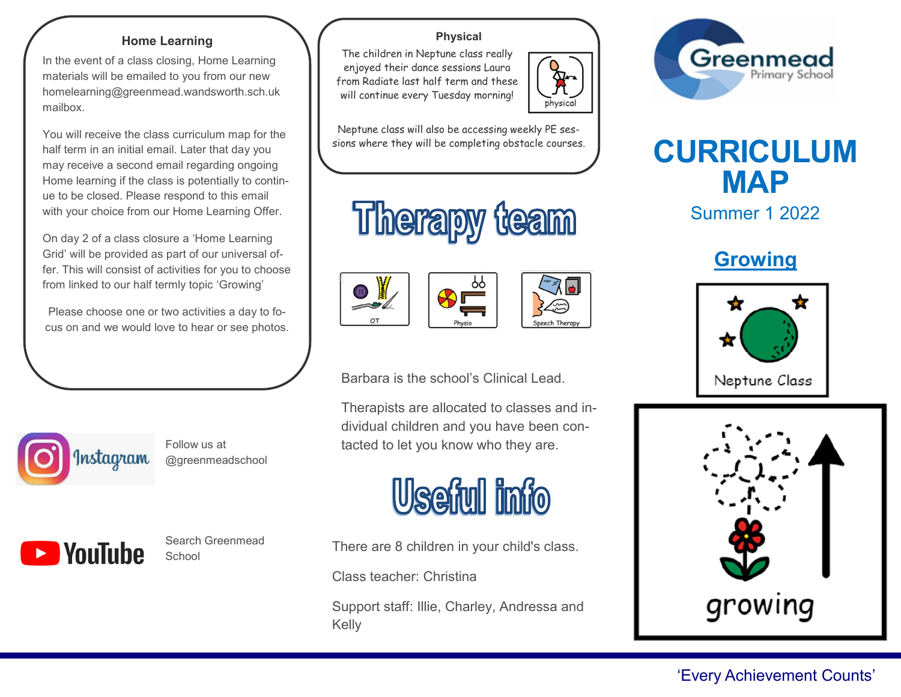### **Home Learning**

In the event of a class closing, Home Learning materials will be emailed to you from our new homelearning@greenmead.wandsworth.sch.uk mailbox.

You will receive the class curriculum map for the half term in an initial email. Later that day you may receive a second email regarding ongoing Home learning if the class is potentially to continue to be closed. Please respond to this email with your choice from our Home Learning Offer.

On day 2 of a class closure a 'Home Learning Grid' will be provided as part of our universal offer. This will consist of activities for you to choose from linked to our half termly topic 'Growing'

Please choose one or two activities a day to focus on and we would love to hear or see photos.



Follow us at @greenmeadschool



Ī

Search Greenmead School

## **Physical**

The children in Neptune class really enjoyed their dance sessions Laura from Radiate last half term and these will continue every Tuesday morning!



Speech There







Barbara is the school's Clinical Lead.

Therapists are allocated to classes and individual children and you have been contacted to let you know who they are.



There are 8 children in your child's class.

Class teacher: Christina

Support staff: Illie, Charley, Andressa and Kelly





Summer 1 2022

**Growing**





# 'Every Achievement Counts'